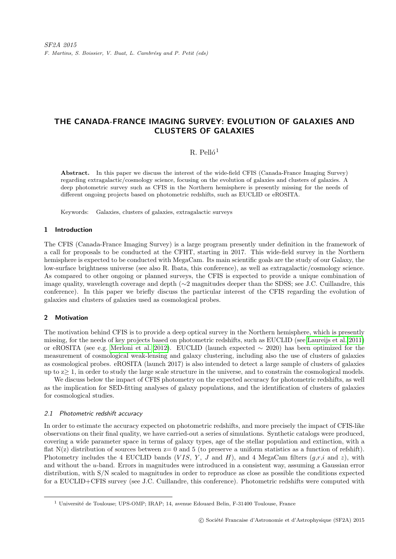# THE CANADA-FRANCE IMAGING SURVEY: EVOLUTION OF GALAXIES AND CLUSTERS OF GALAXIES

# R. Pelló<sup>1</sup>

Abstract. In this paper we discuss the interest of the wide-field CFIS (Canada-France Imaging Survey) regarding extragalactic/cosmology science, focusing on the evolution of galaxies and clusters of galaxies. A deep photometric survey such as CFIS in the Northern hemisphere is presently missing for the needs of different ongoing projects based on photometric redshifts, such as EUCLID or eROSITA.

Keywords: Galaxies, clusters of galaxies, extragalactic surveys

# 1 Introduction

The CFIS (Canada-France Imaging Survey) is a large program presently under definition in the framework of a call for proposals to be conducted at the CFHT, starting in 2017. This wide-field survey in the Northern hemisphere is expected to be conducted with MegaCam. Its main scientific goals are the study of our Galaxy, the low-surface brightness universe (see also R. Ibata, this conference), as well as extragalactic/cosmology science. As compared to other ongoing or planned surveys, the CFIS is expected to provide a unique combination of image quality, wavelength coverage and depth (∼2 magnitudes deeper than the SDSS; see J.C. Cuillandre, this conference). In this paper we briefly discuss the particular interest of the CFIS regarding the evolution of galaxies and clusters of galaxies used as cosmological probes.

### 2 Motivation

The motivation behind CFIS is to provide a deep optical survey in the Northern hemisphere, which is presently missing, for the needs of key projects based on photometric redshifts, such as EUCLID (see [Laureijs et al. 2011\)](#page-3-0) or eROSITA (see e.g. [Merloni et al. 2012\)](#page-3-1). EUCLID (launch expected ∼ 2020) has been optimized for the measurement of cosmological weak-lensing and galaxy clustering, including also the use of clusters of galaxies as cosmological probes. eROSITA (launch 2017) is also intended to detect a large sample of clusters of galaxies up to  $z \geq 1$ , in order to study the large scale structure in the universe, and to constrain the cosmological models.

We discuss below the impact of CFIS photometry on the expected accuracy for photometric redshifts, as well as the implication for SED-fitting analyses of galaxy populations, and the identification of clusters of galaxies for cosmological studies.

#### 2.1 Photometric redshift accuracy

In order to estimate the accuracy expected on photometric redshifts, and more precisely the impact of CFIS-like observations on their final quality, we have carried-out a series of simulations. Synthetic catalogs were produced, covering a wide parameter space in terms of galaxy types, age of the stellar population and extinction, with a flat  $N(z)$  distribution of sources between  $z=0$  and 5 (to preserve a uniform statistics as a function of refshift). Photometry includes the 4 EUCLID bands (VIS, Y, J and H), and 4 MegaCam filters  $(q, r, i$  and z), with and without the u-band. Errors in magnitudes were introduced in a consistent way, assuming a Gaussian error distribution, with S/N scaled to magnitudes in order to reproduce as close as possible the conditions expected for a EUCLID+CFIS survey (see J.C. Cuillandre, this conference). Photometric redshifts were computed with

 $1$  Université de Toulouse; UPS-OMP; IRAP; 14, avenue Edouard Belin, F-31400 Toulouse, France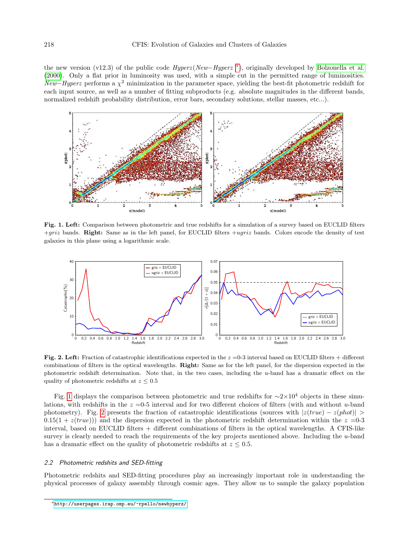the new version (v12.3) of the public code  $Hyperz(New-Hyperz^*)$ , originally developed by [Bolzonella et al.](#page-3-2) [\(2000\)](#page-3-2). Only a flat prior in luminosity was used, with a simple cut in the permitted range of luminosities. New–Hyperz performs a  $\chi^2$  minimization in the parameter space, yielding the best-fit photometric redshift for each input source, as well as a number of fitting subproducts (e.g. absolute magnitudes in the different bands, normalized redshift probability distribution, error bars, secondary solutions, stellar masses, etc...).



<span id="page-1-1"></span>Fig. 1. Left: Comparison between photometric and true redshifts for a simulation of a survey based on EUCLID filters  $+qriz$  bands. Right: Same as in the left panel, for EUCLID filters  $+uqriz$  bands. Colors encode the density of test galaxies in this plane using a logarithmic scale.



<span id="page-1-2"></span>Fig. 2. Left: Fraction of catastrophic identifications expected in the  $z = 0.3$  interval based on EUCLID filters + different combinations of filters in the optical wavelengths. Right: Same as for the left panel, for the dispersion expected in the photometric redshift determination. Note that, in the two cases, including the  $u$ -band has a dramatic effect on the quality of photometric redshifts at  $z \leq 0.5$ 

Fig. [1](#page-1-1) displays the comparison between photometric and true redshifts for  $\sim 2 \times 10^4$  objects in these simulations, with redshifts in the  $z = 0.5$  interval and for two different choices of filters (with and without u-band photometry). Fig. [2](#page-1-2) presents the fraction of catastrophic identifications (sources with  $|z(true) - z(phot)| >$  $(0.15(1 + z(true)))$  and the dispersion expected in the photometric redshift determination within the  $z = 0.3$ interval, based on EUCLID filters + different combinations of filters in the optical wavelengths. A CFIS-like survey is clearly needed to reach the requirements of the key projects mentioned above. Including the u-band has a dramatic effect on the quality of photometric redshifts at  $z \leq 0.5$ .

#### 2.2 Photometric redshits and SED-fitting

Photometric redshits and SED-fitting procedures play an increasingly important role in understanding the physical processes of galaxy assembly through cosmic ages. They allow us to sample the galaxy population

<span id="page-1-0"></span><sup>∗</sup><http://userpages.irap.omp.eu/~rpello/newhyperz/>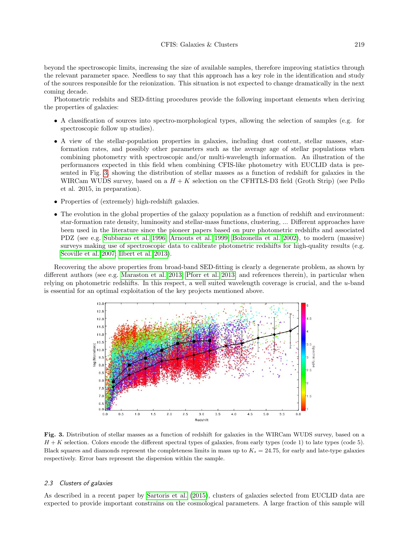#### CFIS: Galaxies & Clusters 219

beyond the spectroscopic limits, increasing the size of available samples, therefore improving statistics through the relevant parameter space. Needless to say that this approach has a key role in the identification and study of the sources responsible for the reionization. This situation is not expected to change dramatically in the next coming decade.

Photometric redshits and SED-fitting procedures provide the following important elements when deriving the properties of galaxies:

- A classification of sources into spectro-morphological types, allowing the selection of samples (e.g. for spectroscopic follow up studies).
- A view of the stellar-population properties in galaxies, including dust content, stellar masses, starformation rates, and possibly other parameters such as the average age of stellar populations when combining photometry with spectroscopic and/or multi-wavelength information. An illustration of the performances expected in this field when combining CFIS-like photometry with EUCLID data is presented in Fig. [3,](#page-2-0) showing the distribution of stellar masses as a function of redshift for galaxies in the WIRCam WUDS survey, based on a  $H + K$  selection on the CFHTLS-D3 field (Groth Strip) (see Pello et al. 2015, in preparation).
- Properties of (extremely) high-redshift galaxies.
- The evolution in the global properties of the galaxy population as a function of redshift and environment: star-formation rate density, luminosity and stellar-mass functions, clustering, ... Different approaches have been used in the literature since the pioneer papers based on pure photometric redshifts and associated PDZ (see e.g. [Subbarao et al. 1996;](#page-3-3) [Arnouts et al. 1999;](#page-3-4) [Bolzonella et al. 2002\)](#page-3-5), to modern (massive) surveys making use of spectroscopic data to calibrate photometric redshifts for high-quality results (e.g. [Scoville et al. 2007;](#page-3-6) [Ilbert et al. 2013\)](#page-3-7).

Recovering the above properties from broad-band SED-fitting is clearly a degenerate problem, as shown by different authors (see e.g. [Maraston et al. 2013;](#page-3-8) [Pforr et al. 2013,](#page-3-9) and references therein), in particular when relying on photometric redshifts. In this respect, a well suited wavelength coverage is crucial, and the u-band is essential for an optimal exploitation of the key projects mentioned above.



<span id="page-2-0"></span>Fig. 3. Distribution of stellar masses as a function of redshift for galaxies in the WIRCam WUDS survey, based on a  $H + K$  selection. Colors encode the different spectral types of galaxies, from early types (code 1) to late types (code 5). Black squares and diamonds represent the completeness limits in mass up to  $K_s = 24.75$ , for early and late-type galaxies respectively. Error bars represent the dispersion within the sample.

## 2.3 Clusters of galaxies

As described in a recent paper by [Sartoris et al.](#page-3-10) [\(2015\)](#page-3-10), clusters of galaxies selected from EUCLID data are expected to provide important constrains on the cosmological parameters. A large fraction of this sample will